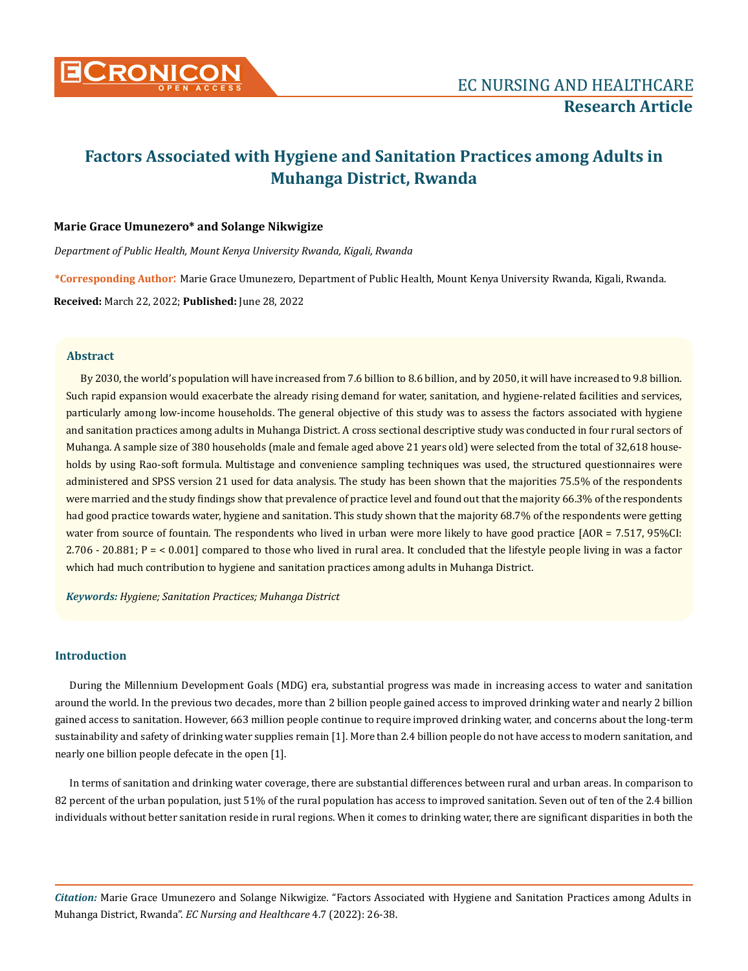

# **Factors Associated with Hygiene and Sanitation Practices among Adults in Muhanga District, Rwanda**

## **Marie Grace Umunezero\* and Solange Nikwigize**

*Department of Public Health, Mount Kenya University Rwanda, Kigali, Rwanda*

**\*Corresponding Author**: Marie Grace Umunezero, Department of Public Health, Mount Kenya University Rwanda, Kigali, Rwanda. **Received:** March 22, 2022; **Published:** June 28, 2022

## **Abstract**

By 2030, the world's population will have increased from 7.6 billion to 8.6 billion, and by 2050, it will have increased to 9.8 billion. Such rapid expansion would exacerbate the already rising demand for water, sanitation, and hygiene-related facilities and services, particularly among low-income households. The general objective of this study was to assess the factors associated with hygiene and sanitation practices among adults in Muhanga District. A cross sectional descriptive study was conducted in four rural sectors of Muhanga. A sample size of 380 households (male and female aged above 21 years old) were selected from the total of 32,618 households by using Rao-soft formula. Multistage and convenience sampling techniques was used, the structured questionnaires were administered and SPSS version 21 used for data analysis. The study has been shown that the majorities 75.5% of the respondents were married and the study findings show that prevalence of practice level and found out that the majority 66.3% of the respondents had good practice towards water, hygiene and sanitation. This study shown that the majority 68.7% of the respondents were getting water from source of fountain. The respondents who lived in urban were more likely to have good practice [AOR = 7.517, 95%CI: 2.706 - 20.881; P = < 0.001] compared to those who lived in rural area. It concluded that the lifestyle people living in was a factor which had much contribution to hygiene and sanitation practices among adults in Muhanga District.

*Keywords: Hygiene; Sanitation Practices; Muhanga District*

# **Introduction**

During the Millennium Development Goals (MDG) era, substantial progress was made in increasing access to water and sanitation around the world. In the previous two decades, more than 2 billion people gained access to improved drinking water and nearly 2 billion gained access to sanitation. However, 663 million people continue to require improved drinking water, and concerns about the long-term sustainability and safety of drinking water supplies remain [1]. More than 2.4 billion people do not have access to modern sanitation, and nearly one billion people defecate in the open [1].

In terms of sanitation and drinking water coverage, there are substantial differences between rural and urban areas. In comparison to 82 percent of the urban population, just 51% of the rural population has access to improved sanitation. Seven out of ten of the 2.4 billion individuals without better sanitation reside in rural regions. When it comes to drinking water, there are significant disparities in both the

*Citation:* Marie Grace Umunezero and Solange Nikwigize*.* "Factors Associated with Hygiene and Sanitation Practices among Adults in Muhanga District, Rwanda". *EC Nursing and Healthcare* 4.7 (2022): 26-38.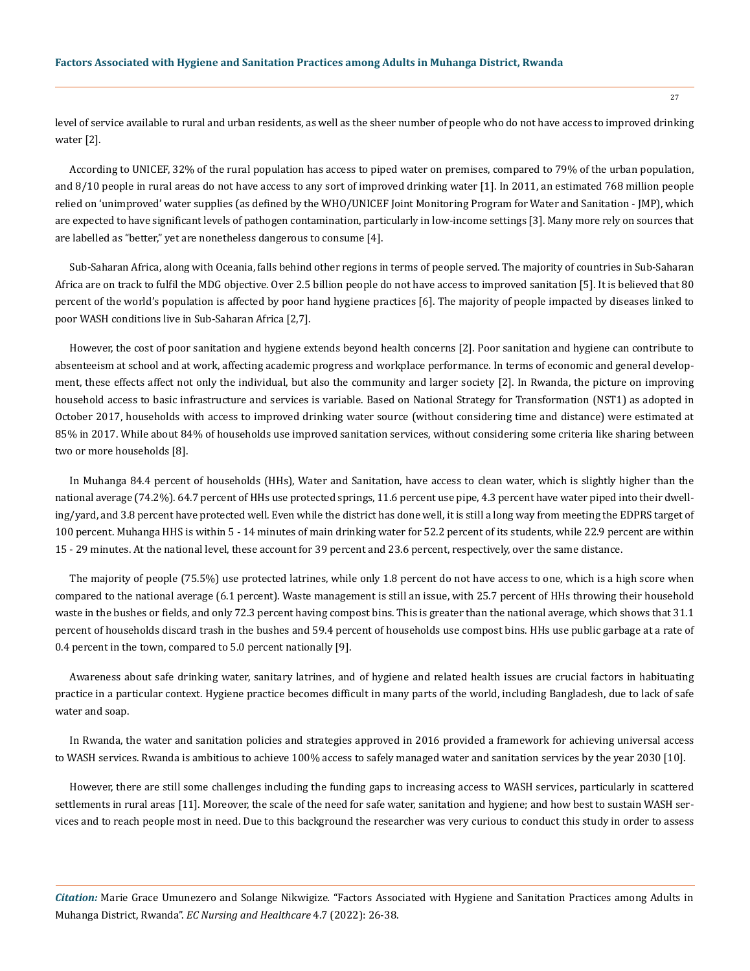level of service available to rural and urban residents, as well as the sheer number of people who do not have access to improved drinking water [2].

According to UNICEF, 32% of the rural population has access to piped water on premises, compared to 79% of the urban population, and 8/10 people in rural areas do not have access to any sort of improved drinking water [1]. In 2011, an estimated 768 million people relied on 'unimproved' water supplies (as defined by the WHO/UNICEF Joint Monitoring Program for Water and Sanitation - JMP), which are expected to have significant levels of pathogen contamination, particularly in low-income settings [3]. Many more rely on sources that are labelled as "better," yet are nonetheless dangerous to consume [4].

Sub-Saharan Africa, along with Oceania, falls behind other regions in terms of people served. The majority of countries in Sub-Saharan Africa are on track to fulfil the MDG objective. Over 2.5 billion people do not have access to improved sanitation [5]. It is believed that 80 percent of the world's population is affected by poor hand hygiene practices [6]. The majority of people impacted by diseases linked to poor WASH conditions live in Sub-Saharan Africa [2,7].

However, the cost of poor sanitation and hygiene extends beyond health concerns [2]. Poor sanitation and hygiene can contribute to absenteeism at school and at work, affecting academic progress and workplace performance. In terms of economic and general development, these effects affect not only the individual, but also the community and larger society [2]. In Rwanda, the picture on improving household access to basic infrastructure and services is variable. Based on National Strategy for Transformation (NST1) as adopted in October 2017, households with access to improved drinking water source (without considering time and distance) were estimated at 85% in 2017. While about 84% of households use improved sanitation services, without considering some criteria like sharing between two or more households [8].

In Muhanga 84.4 percent of households (HHs), Water and Sanitation, have access to clean water, which is slightly higher than the national average (74.2%). 64.7 percent of HHs use protected springs, 11.6 percent use pipe, 4.3 percent have water piped into their dwelling/yard, and 3.8 percent have protected well. Even while the district has done well, it is still a long way from meeting the EDPRS target of 100 percent. Muhanga HHS is within 5 - 14 minutes of main drinking water for 52.2 percent of its students, while 22.9 percent are within 15 - 29 minutes. At the national level, these account for 39 percent and 23.6 percent, respectively, over the same distance.

The majority of people (75.5%) use protected latrines, while only 1.8 percent do not have access to one, which is a high score when compared to the national average (6.1 percent). Waste management is still an issue, with 25.7 percent of HHs throwing their household waste in the bushes or fields, and only 72.3 percent having compost bins. This is greater than the national average, which shows that 31.1 percent of households discard trash in the bushes and 59.4 percent of households use compost bins. HHs use public garbage at a rate of 0.4 percent in the town, compared to 5.0 percent nationally [9].

Awareness about safe drinking water, sanitary latrines, and of hygiene and related health issues are crucial factors in habituating practice in a particular context. Hygiene practice becomes difficult in many parts of the world, including Bangladesh, due to lack of safe water and soap.

In Rwanda, the water and sanitation policies and strategies approved in 2016 provided a framework for achieving universal access to WASH services. Rwanda is ambitious to achieve 100% access to safely managed water and sanitation services by the year 2030 [10].

However, there are still some challenges including the funding gaps to increasing access to WASH services, particularly in scattered settlements in rural areas [11]. Moreover, the scale of the need for safe water, sanitation and hygiene; and how best to sustain WASH services and to reach people most in need. Due to this background the researcher was very curious to conduct this study in order to assess

*Citation:* Marie Grace Umunezero and Solange Nikwigize*.* "Factors Associated with Hygiene and Sanitation Practices among Adults in Muhanga District, Rwanda". *EC Nursing and Healthcare* 4.7 (2022): 26-38.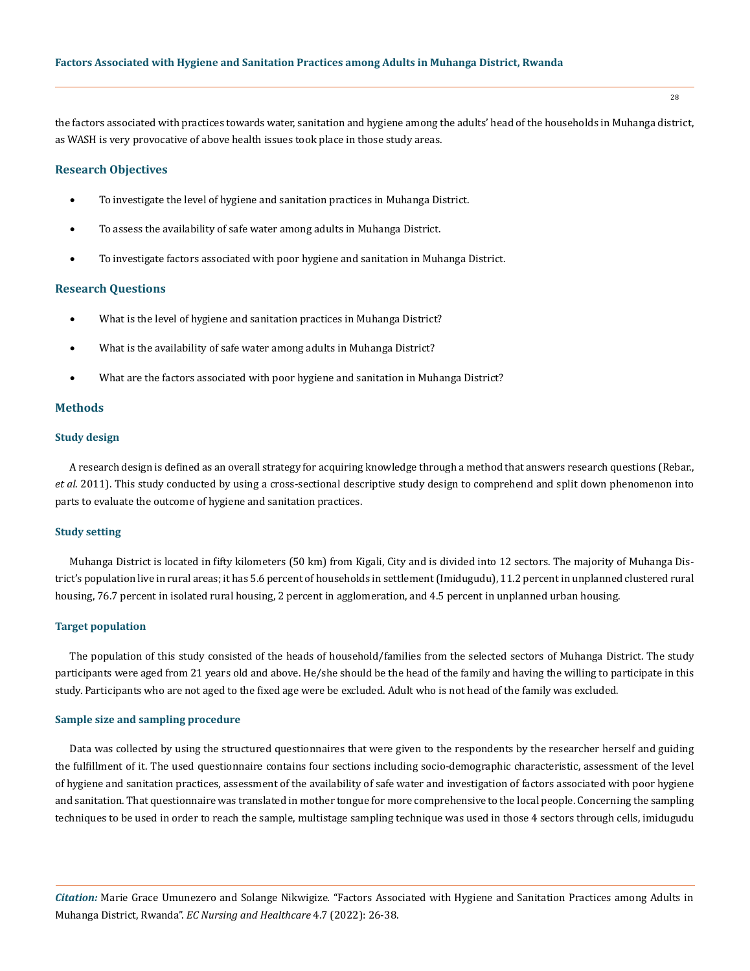the factors associated with practices towards water, sanitation and hygiene among the adults' head of the households in Muhanga district, as WASH is very provocative of above health issues took place in those study areas.

## **Research Objectives**

- To investigate the level of hygiene and sanitation practices in Muhanga District.
- To assess the availability of safe water among adults in Muhanga District.
- • To investigate factors associated with poor hygiene and sanitation in Muhanga District.

# **Research Questions**

- What is the level of hygiene and sanitation practices in Muhanga District?
- What is the availability of safe water among adults in Muhanga District?
- What are the factors associated with poor hygiene and sanitation in Muhanga District?

#### **Methods**

#### **Study design**

A research design is defined as an overall strategy for acquiring knowledge through a method that answers research questions (Rebar., *et al*. 2011). This study conducted by using a cross-sectional descriptive study design to comprehend and split down phenomenon into parts to evaluate the outcome of hygiene and sanitation practices.

#### **Study setting**

Muhanga District is located in fifty kilometers (50 km) from Kigali, City and is divided into 12 sectors. The majority of Muhanga District's population live in rural areas; it has 5.6 percent of households in settlement (Imidugudu), 11.2 percent in unplanned clustered rural housing, 76.7 percent in isolated rural housing, 2 percent in agglomeration, and 4.5 percent in unplanned urban housing.

#### **Target population**

The population of this study consisted of the heads of household/families from the selected sectors of Muhanga District. The study participants were aged from 21 years old and above. He/she should be the head of the family and having the willing to participate in this study. Participants who are not aged to the fixed age were be excluded. Adult who is not head of the family was excluded.

## **Sample size and sampling procedure**

Data was collected by using the structured questionnaires that were given to the respondents by the researcher herself and guiding the fulfillment of it. The used questionnaire contains four sections including socio-demographic characteristic, assessment of the level of hygiene and sanitation practices, assessment of the availability of safe water and investigation of factors associated with poor hygiene and sanitation. That questionnaire was translated in mother tongue for more comprehensive to the local people. Concerning the sampling techniques to be used in order to reach the sample, multistage sampling technique was used in those 4 sectors through cells, imidugudu

*Citation:* Marie Grace Umunezero and Solange Nikwigize*.* "Factors Associated with Hygiene and Sanitation Practices among Adults in Muhanga District, Rwanda". *EC Nursing and Healthcare* 4.7 (2022): 26-38.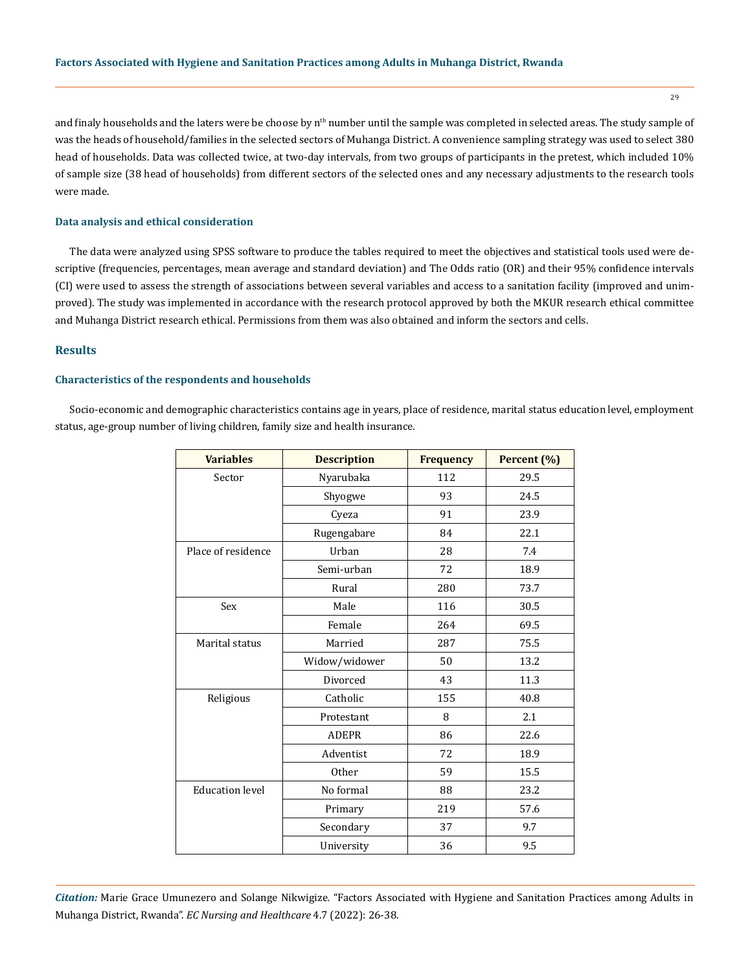and finaly households and the laters were be choose by  $n<sup>th</sup>$  number until the sample was completed in selected areas. The study sample of was the heads of household/families in the selected sectors of Muhanga District. A convenience sampling strategy was used to select 380 head of households. Data was collected twice, at two-day intervals, from two groups of participants in the pretest, which included 10% of sample size (38 head of households) from different sectors of the selected ones and any necessary adjustments to the research tools were made.

## **Data analysis and ethical consideration**

The data were analyzed using SPSS software to produce the tables required to meet the objectives and statistical tools used were descriptive (frequencies, percentages, mean average and standard deviation) and The Odds ratio (OR) and their 95% confidence intervals (CI) were used to assess the strength of associations between several variables and access to a sanitation facility (improved and unimproved). The study was implemented in accordance with the research protocol approved by both the MKUR research ethical committee and Muhanga District research ethical. Permissions from them was also obtained and inform the sectors and cells.

# **Results**

#### **Characteristics of the respondents and households**

Socio-economic and demographic characteristics contains age in years, place of residence, marital status education level, employment status, age-group number of living children, family size and health insurance.

| <b>Variables</b>       | <b>Description</b> | <b>Frequency</b> | Percent (%) |
|------------------------|--------------------|------------------|-------------|
| Sector                 | Nyarubaka          | 112              | 29.5        |
|                        | Shyogwe            | 93               | 24.5        |
|                        | Cyeza              | 91               | 23.9        |
|                        | Rugengabare        | 84               | 22.1        |
| Place of residence     | Urban              | 28               | 7.4         |
|                        | Semi-urban         | 72               | 18.9        |
|                        | Rural              | 280              | 73.7        |
| Sex                    | Male               | 116              | 30.5        |
|                        | Female             | 264              | 69.5        |
| Marital status         | Married            | 287              | 75.5        |
|                        | Widow/widower      | 50               | 13.2        |
|                        | Divorced           | 43               | 11.3        |
| Religious              | Catholic           | 155              | 40.8        |
|                        | Protestant         | 8                | 2.1         |
|                        | <b>ADEPR</b>       | 86               | 22.6        |
|                        | Adventist          | 72               | 18.9        |
|                        | Other              | 59               | 15.5        |
| <b>Education level</b> | No formal          | 88               | 23.2        |
|                        | Primary            | 219              | 57.6        |
|                        | Secondary          | 37               | 9.7         |
|                        | University         | 36               | 9.5         |

*Citation:* Marie Grace Umunezero and Solange Nikwigize*.* "Factors Associated with Hygiene and Sanitation Practices among Adults in Muhanga District, Rwanda". *EC Nursing and Healthcare* 4.7 (2022): 26-38.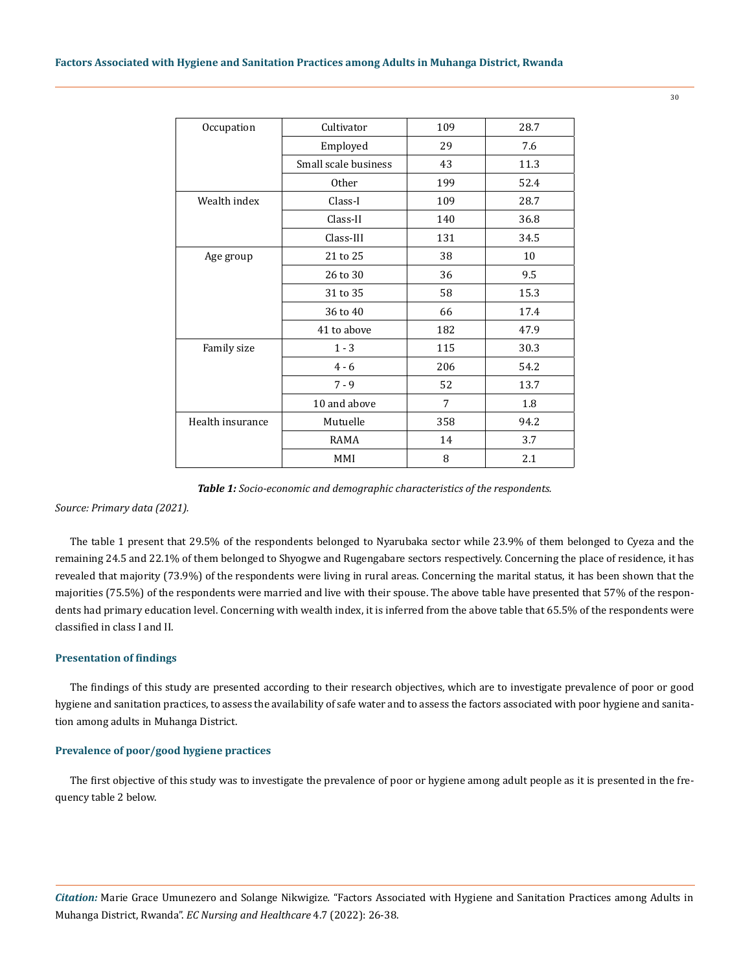| Cultivator<br>Occupation |                      | 109 | 28.7 |
|--------------------------|----------------------|-----|------|
|                          | Employed             | 29  | 7.6  |
|                          | Small scale business | 43  | 11.3 |
|                          | <b>Other</b>         | 199 | 52.4 |
| Wealth index             | Class-I              | 109 | 28.7 |
|                          | Class-II             | 140 | 36.8 |
|                          | Class-III            | 131 | 34.5 |
| Age group                | 21 to 25             | 38  | 10   |
|                          | 26 to 30             | 36  | 9.5  |
|                          | 31 to 35             | 58  | 15.3 |
|                          | 36 to 40             | 66  | 17.4 |
|                          | 41 to above          | 182 | 47.9 |
| Family size              | $1 - 3$              | 115 | 30.3 |
|                          | $4 - 6$              | 206 | 54.2 |
|                          | $7 - 9$              | 52  | 13.7 |
|                          | 10 and above         | 7   | 1.8  |
| Health insurance         | Mutuelle             | 358 | 94.2 |
|                          | RAMA                 | 14  | 3.7  |
|                          | MMI                  | 8   | 2.1  |

*Table 1: Socio-economic and demographic characteristics of the respondents.* 

*Source: Primary data (2021).*

The table 1 present that 29.5% of the respondents belonged to Nyarubaka sector while 23.9% of them belonged to Cyeza and the remaining 24.5 and 22.1% of them belonged to Shyogwe and Rugengabare sectors respectively. Concerning the place of residence, it has revealed that majority (73.9%) of the respondents were living in rural areas. Concerning the marital status, it has been shown that the majorities (75.5%) of the respondents were married and live with their spouse. The above table have presented that 57% of the respondents had primary education level. Concerning with wealth index, it is inferred from the above table that 65.5% of the respondents were classified in class I and II.

### **Presentation of findings**

The findings of this study are presented according to their research objectives, which are to investigate prevalence of poor or good hygiene and sanitation practices, to assess the availability of safe water and to assess the factors associated with poor hygiene and sanitation among adults in Muhanga District.

## **Prevalence of poor/good hygiene practices**

The first objective of this study was to investigate the prevalence of poor or hygiene among adult people as it is presented in the frequency table 2 below.

*Citation:* Marie Grace Umunezero and Solange Nikwigize*.* "Factors Associated with Hygiene and Sanitation Practices among Adults in Muhanga District, Rwanda". *EC Nursing and Healthcare* 4.7 (2022): 26-38.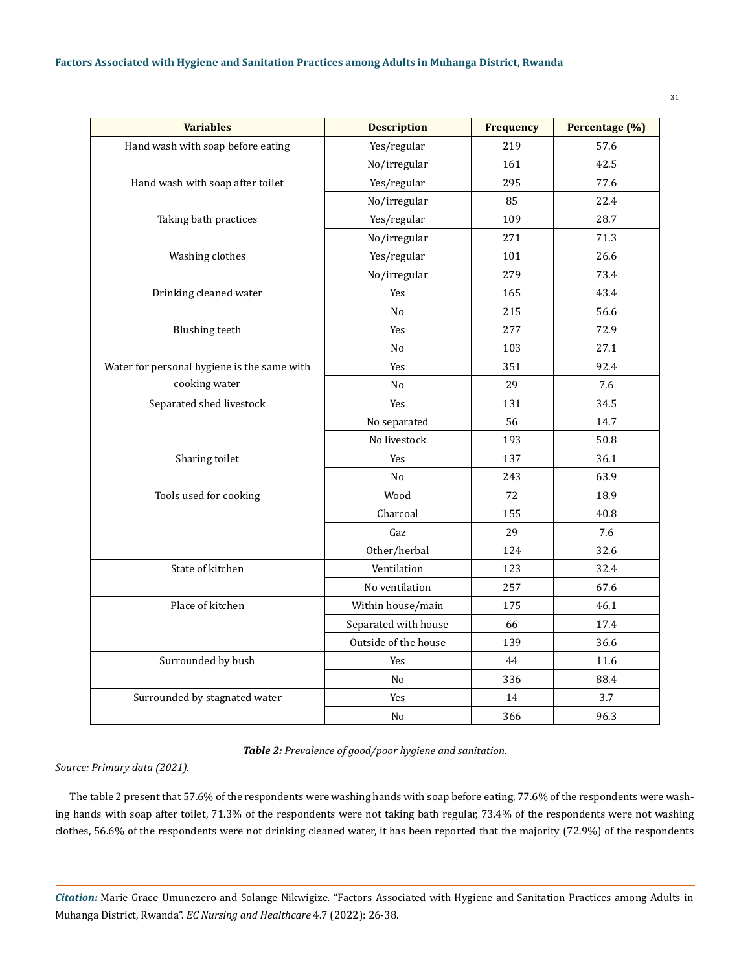| <b>Variables</b>                            | <b>Description</b>   | <b>Frequency</b> | Percentage (%) |
|---------------------------------------------|----------------------|------------------|----------------|
| Hand wash with soap before eating           | Yes/regular          | 219              | 57.6           |
|                                             | No/irregular         | 161              | 42.5           |
| Hand wash with soap after toilet            | Yes/regular          | 295              | 77.6           |
|                                             | No/irregular         | 85               | 22.4           |
| Taking bath practices                       | Yes/regular          | 109              | 28.7           |
|                                             | No/irregular         | 271              | 71.3           |
| Washing clothes                             | Yes/regular          | 101              | 26.6           |
|                                             | No/irregular         | 279              | 73.4           |
| Drinking cleaned water                      | Yes                  | 165              | 43.4           |
|                                             | No                   | 215              | 56.6           |
| <b>Blushing</b> teeth                       | Yes                  | 277              | 72.9           |
|                                             | No                   | 103              | 27.1           |
| Water for personal hygiene is the same with | Yes                  | 351              | 92.4           |
| cooking water                               | No                   | 29               | 7.6            |
| Separated shed livestock                    | Yes                  | 131              | 34.5           |
|                                             | No separated         | 56               | 14.7           |
|                                             | No livestock         | 193              | 50.8           |
| Sharing toilet                              | Yes                  | 137              | 36.1           |
|                                             | N <sub>o</sub>       | 243              | 63.9           |
| Tools used for cooking                      | Wood                 | 72               | 18.9           |
|                                             | Charcoal             | 155              | 40.8           |
|                                             | Gaz                  | 29               | 7.6            |
|                                             | Other/herbal         | 124              | 32.6           |
| State of kitchen                            | Ventilation          | 123              | 32.4           |
|                                             | No ventilation       | 257              | 67.6           |
| Place of kitchen                            | Within house/main    | 175              | 46.1           |
|                                             | Separated with house | 66               | 17.4           |
|                                             | Outside of the house | 139              | 36.6           |
| Surrounded by bush                          | Yes                  | 44               | 11.6           |
|                                             | N <sub>o</sub>       | 336              | 88.4           |
| Surrounded by stagnated water               | Yes                  | 14               | 3.7            |
|                                             | No                   | 366              | 96.3           |

*Table 2: Prevalence of good/poor hygiene and sanitation.*

*Source: Primary data (2021).*

The table 2 present that 57.6% of the respondents were washing hands with soap before eating, 77.6% of the respondents were washing hands with soap after toilet, 71.3% of the respondents were not taking bath regular, 73.4% of the respondents were not washing clothes, 56.6% of the respondents were not drinking cleaned water, it has been reported that the majority (72.9%) of the respondents

*Citation:* Marie Grace Umunezero and Solange Nikwigize*.* "Factors Associated with Hygiene and Sanitation Practices among Adults in Muhanga District, Rwanda". *EC Nursing and Healthcare* 4.7 (2022): 26-38.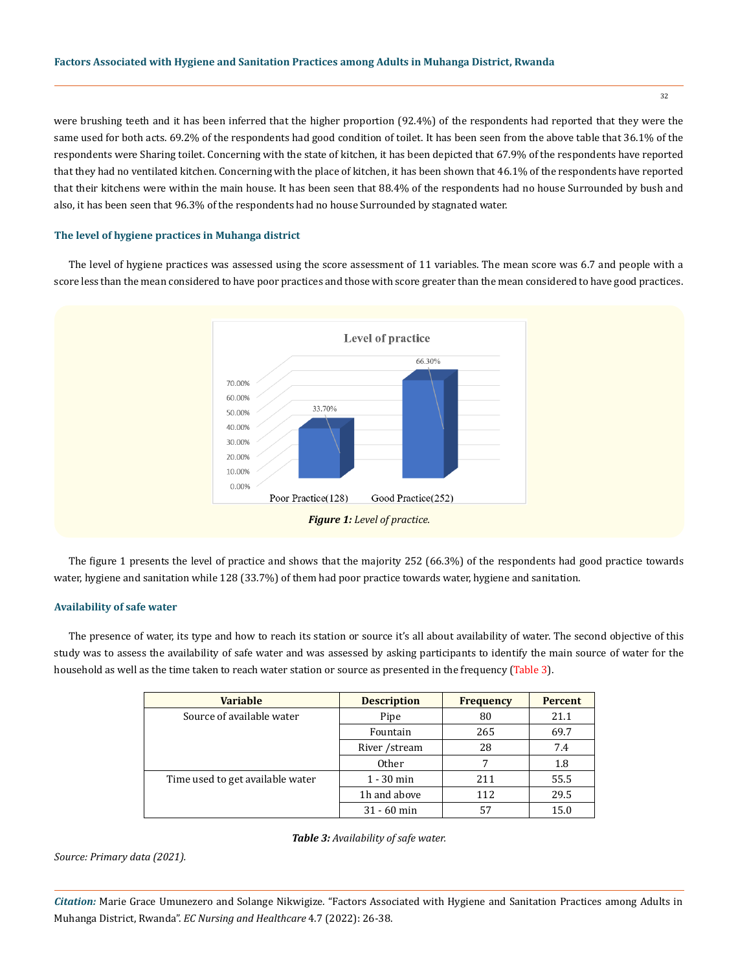were brushing teeth and it has been inferred that the higher proportion (92.4%) of the respondents had reported that they were the same used for both acts. 69.2% of the respondents had good condition of toilet. It has been seen from the above table that 36.1% of the respondents were Sharing toilet. Concerning with the state of kitchen, it has been depicted that 67.9% of the respondents have reported that they had no ventilated kitchen. Concerning with the place of kitchen, it has been shown that 46.1% of the respondents have reported that their kitchens were within the main house. It has been seen that 88.4% of the respondents had no house Surrounded by bush and also, it has been seen that 96.3% of the respondents had no house Surrounded by stagnated water.

#### **The level of hygiene practices in Muhanga district**

The level of hygiene practices was assessed using the score assessment of 11 variables. The mean score was 6.7 and people with a score less than the mean considered to have poor practices and those with score greater than the mean considered to have good practices.



The figure 1 presents the level of practice and shows that the majority 252 (66.3%) of the respondents had good practice towards water, hygiene and sanitation while 128 (33.7%) of them had poor practice towards water, hygiene and sanitation.

#### **Availability of safe water**

The presence of water, its type and how to reach its station or source it's all about availability of water. The second objective of this study was to assess the availability of safe water and was assessed by asking participants to identify the main source of water for the household as well as the time taken to reach water station or source as presented in the frequency (Table 3).

| <b>Variable</b>                  | <b>Description</b> | <b>Frequency</b> | <b>Percent</b> |
|----------------------------------|--------------------|------------------|----------------|
| Source of available water        | Pipe               | 80               | 21.1           |
|                                  | Fountain           | 265              | 69.7           |
|                                  | River / stream     | 28               | 7.4            |
|                                  | Other              | 7                | 1.8            |
| Time used to get available water | $1 - 30$ min       | 211              | 55.5           |
|                                  | 1h and above       | 112              | 29.5           |
|                                  | $31 - 60$ min      | 57               | 15.0           |

#### *Table 3: Availability of safe water.*

*Source: Primary data (2021).*

*Citation:* Marie Grace Umunezero and Solange Nikwigize*.* "Factors Associated with Hygiene and Sanitation Practices among Adults in Muhanga District, Rwanda". *EC Nursing and Healthcare* 4.7 (2022): 26-38.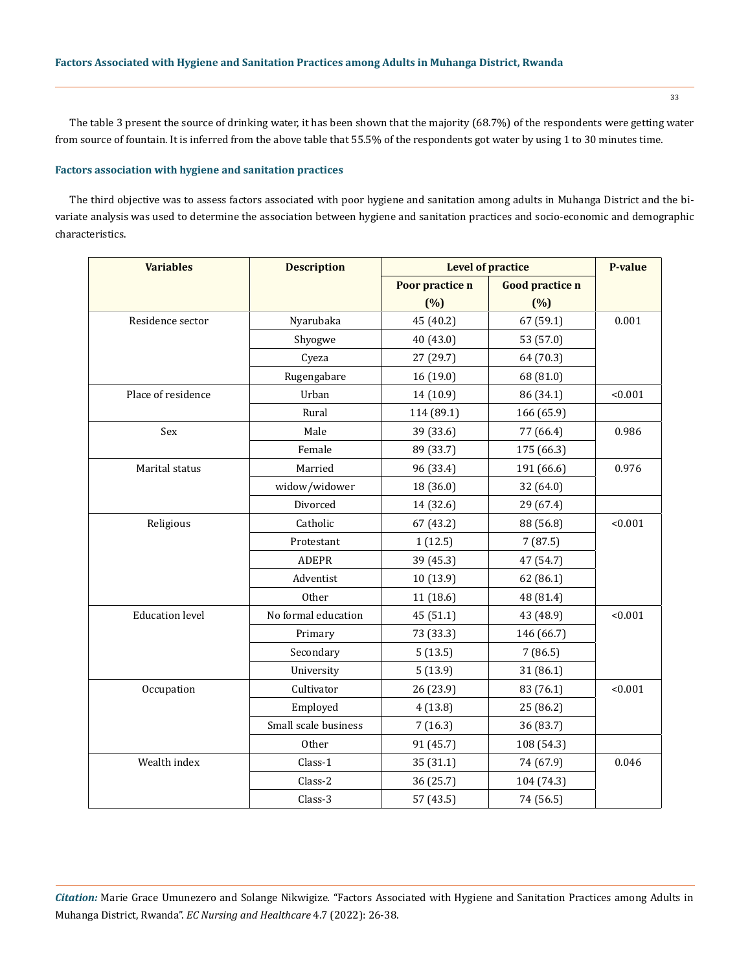The table 3 present the source of drinking water, it has been shown that the majority (68.7%) of the respondents were getting water from source of fountain. It is inferred from the above table that 55.5% of the respondents got water by using 1 to 30 minutes time.

## **Factors association with hygiene and sanitation practices**

The third objective was to assess factors associated with poor hygiene and sanitation among adults in Muhanga District and the bivariate analysis was used to determine the association between hygiene and sanitation practices and socio-economic and demographic characteristics.

| <b>Variables</b>       | <b>Description</b>   | <b>Level of practice</b> | <b>P-value</b>         |         |  |
|------------------------|----------------------|--------------------------|------------------------|---------|--|
|                        |                      |                          | <b>Good practice n</b> |         |  |
|                        |                      | (%)                      | (%)                    |         |  |
| Residence sector       | Nyarubaka            | 45 (40.2)                | 67 (59.1)              | 0.001   |  |
|                        | Shyogwe              | 40 (43.0)                | 53 (57.0)              |         |  |
|                        | Cyeza                | 27 (29.7)                | 64 (70.3)              |         |  |
|                        | Rugengabare          | 16 (19.0)                | 68 (81.0)              |         |  |
| Place of residence     | Urban                | 14 (10.9)                | 86 (34.1)              | < 0.001 |  |
|                        | Rural                | 114 (89.1)               | 166 (65.9)             |         |  |
| Sex                    | Male                 | 39 (33.6)                | 77 (66.4)              | 0.986   |  |
|                        | Female               | 89 (33.7)                | 175 (66.3)             |         |  |
| Marital status         | Married              | 96 (33.4)                | 191 (66.6)             | 0.976   |  |
|                        | widow/widower        | 18 (36.0)                | 32 (64.0)              |         |  |
|                        | Divorced             | 14 (32.6)                | 29 (67.4)              |         |  |
| Religious              | Catholic             | 67 (43.2)                | 88 (56.8)              | < 0.001 |  |
|                        | Protestant           | 1(12.5)                  | 7(87.5)                |         |  |
|                        | <b>ADEPR</b>         | 39 (45.3)                | 47 (54.7)              |         |  |
|                        | Adventist            | 10 (13.9)                | 62 (86.1)              |         |  |
|                        | <b>Other</b>         | 11 (18.6)                | 48 (81.4)              |         |  |
| <b>Education level</b> | No formal education  | 45 (51.1)                | 43 (48.9)              | < 0.001 |  |
|                        | Primary              | 73 (33.3)                | 146 (66.7)             |         |  |
|                        | Secondary            | 5(13.5)                  | 7(86.5)                |         |  |
|                        | University           | 5(13.9)                  | 31 (86.1)              |         |  |
| Occupation             | Cultivator           | 26 (23.9)                | 83 (76.1)              | < 0.001 |  |
|                        | Employed             | 4(13.8)                  | 25 (86.2)              |         |  |
|                        | Small scale business | 7(16.3)                  | 36 (83.7)              |         |  |
|                        | Other                | 91 (45.7)                | 108 (54.3)             |         |  |
| Wealth index           | Class-1              | 35 (31.1)                | 74 (67.9)              | 0.046   |  |
|                        | Class-2              | 36 (25.7)                | 104 (74.3)             |         |  |
|                        | Class-3              | 57 (43.5)                | 74 (56.5)              |         |  |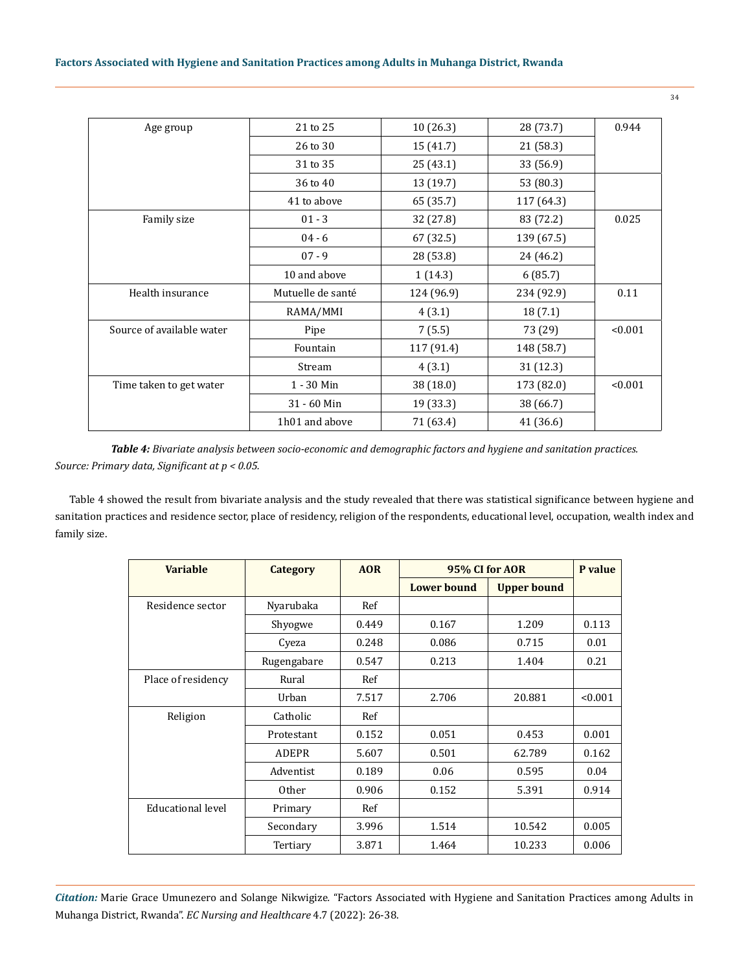| 21 to 25          | 10(26.3)   | 28 (73.7)  | 0.944   |
|-------------------|------------|------------|---------|
| 26 to 30          | 15 (41.7)  | 21 (58.3)  |         |
| 31 to 35          | 25(43.1)   | 33 (56.9)  |         |
| 36 to 40          | 13 (19.7)  | 53 (80.3)  |         |
| 41 to above       | 65 (35.7)  | 117 (64.3) |         |
| $01 - 3$          | 32 (27.8)  | 83 (72.2)  | 0.025   |
| $04 - 6$          | 67 (32.5)  | 139 (67.5) |         |
| $07 - 9$          | 28 (53.8)  | 24 (46.2)  |         |
| 10 and above      | 1(14.3)    | 6(85.7)    |         |
| Mutuelle de santé | 124 (96.9) | 234 (92.9) | 0.11    |
| RAMA/MMI          | 4(3.1)     | 18 (7.1)   |         |
| Pipe              | 7(5.5)     | 73 (29)    | < 0.001 |
| Fountain          | 117 (91.4) | 148 (58.7) |         |
| Stream            | 4(3.1)     | 31 (12.3)  |         |
| 1 - 30 Min        | 38 (18.0)  | 173 (82.0) | < 0.001 |
| 31 - 60 Min       | 19 (33.3)  | 38 (66.7)  |         |
| 1h01 and above    | 71 (63.4)  | 41 (36.6)  |         |
|                   |            |            |         |

*Table 4: Bivariate analysis between socio-economic and demographic factors and hygiene and sanitation practices. Source: Primary data, Significant at p < 0.05.*

Table 4 showed the result from bivariate analysis and the study revealed that there was statistical significance between hygiene and sanitation practices and residence sector, place of residency, religion of the respondents, educational level, occupation, wealth index and family size.

| <b>Variable</b>          | <b>Category</b> | <b>AOR</b> | 95% CI for AOR     |                    | P value |
|--------------------------|-----------------|------------|--------------------|--------------------|---------|
|                          |                 |            | <b>Lower bound</b> | <b>Upper bound</b> |         |
| Residence sector         | Nyarubaka       | Ref        |                    |                    |         |
|                          | Shyogwe         | 0.449      | 0.167              | 1.209              | 0.113   |
|                          | Cyeza           | 0.248      | 0.086              | 0.715              | 0.01    |
|                          | Rugengabare     | 0.547      | 0.213              | 1.404              | 0.21    |
| Place of residency       | Rural           | Ref        |                    |                    |         |
|                          | Urban           | 7.517      | 2.706              | 20.881             | < 0.001 |
| Religion                 | Catholic        | Ref        |                    |                    |         |
|                          | Protestant      | 0.152      | 0.051              | 0.453              | 0.001   |
|                          | <b>ADEPR</b>    | 5.607      | 0.501              | 62.789             | 0.162   |
|                          | Adventist       | 0.189      | 0.06               | 0.595              | 0.04    |
|                          | <b>Other</b>    | 0.906      | 0.152              | 5.391              | 0.914   |
| <b>Educational level</b> | Primary         | Ref        |                    |                    |         |
|                          | Secondary       | 3.996      | 1.514              | 10.542             | 0.005   |
|                          | Tertiary        | 3.871      | 1.464              | 10.233             | 0.006   |

*Citation:* Marie Grace Umunezero and Solange Nikwigize*.* "Factors Associated with Hygiene and Sanitation Practices among Adults in Muhanga District, Rwanda". *EC Nursing and Healthcare* 4.7 (2022): 26-38.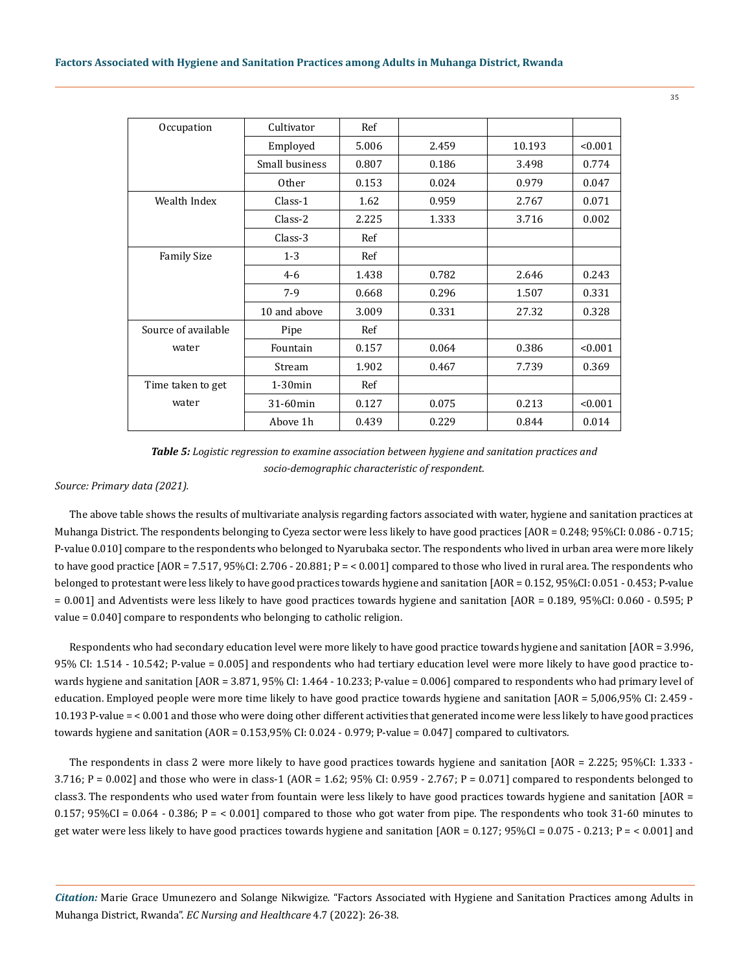| Occupation          | Cultivator     | Ref   |       |        |         |
|---------------------|----------------|-------|-------|--------|---------|
|                     | Employed       | 5.006 | 2.459 | 10.193 | < 0.001 |
|                     | Small business | 0.807 | 0.186 | 3.498  | 0.774   |
|                     | <b>Other</b>   | 0.153 | 0.024 | 0.979  | 0.047   |
| Wealth Index        | $Class-1$      | 1.62  | 0.959 | 2.767  | 0.071   |
|                     | Class-2        | 2.225 | 1.333 | 3.716  | 0.002   |
|                     | $Class-3$      | Ref   |       |        |         |
| <b>Family Size</b>  | $1 - 3$        | Ref   |       |        |         |
|                     | $4 - 6$        | 1.438 | 0.782 | 2.646  | 0.243   |
|                     | $7-9$          | 0.668 | 0.296 | 1.507  | 0.331   |
|                     | 10 and above   | 3.009 | 0.331 | 27.32  | 0.328   |
| Source of available | Pipe           | Ref   |       |        |         |
| water               | Fountain       | 0.157 | 0.064 | 0.386  | < 0.001 |
|                     | Stream         | 1.902 | 0.467 | 7.739  | 0.369   |
| Time taken to get   | $1-30$ min     | Ref   |       |        |         |
| water               | 31-60min       | 0.127 | 0.075 | 0.213  | < 0.001 |
|                     | Above 1h       | 0.439 | 0.229 | 0.844  | 0.014   |

*Table 5: Logistic regression to examine association between hygiene and sanitation practices and socio-demographic characteristic of respondent.*

*Source: Primary data (2021).*

The above table shows the results of multivariate analysis regarding factors associated with water, hygiene and sanitation practices at Muhanga District. The respondents belonging to Cyeza sector were less likely to have good practices [AOR = 0.248; 95%CI: 0.086 - 0.715; P-value 0.010] compare to the respondents who belonged to Nyarubaka sector. The respondents who lived in urban area were more likely to have good practice  $[AOR = 7.517, 95\% CI: 2.706 - 20.881; P =  $0.001$  compared to those who lived in rural area. The respondents who$ belonged to protestant were less likely to have good practices towards hygiene and sanitation [AOR = 0.152, 95%CI: 0.051 - 0.453; P-value = 0.001] and Adventists were less likely to have good practices towards hygiene and sanitation [AOR = 0.189, 95%CI: 0.060 - 0.595; P value = 0.040] compare to respondents who belonging to catholic religion.

Respondents who had secondary education level were more likely to have good practice towards hygiene and sanitation [AOR = 3.996, 95% CI: 1.514 - 10.542; P-value = 0.005] and respondents who had tertiary education level were more likely to have good practice towards hygiene and sanitation [AOR = 3.871, 95% CI: 1.464 - 10.233; P-value = 0.006] compared to respondents who had primary level of education. Employed people were more time likely to have good practice towards hygiene and sanitation [AOR = 5,006,95% CI: 2.459 - 10.193 P-value = < 0.001 and those who were doing other different activities that generated income were less likely to have good practices towards hygiene and sanitation (AOR = 0.153,95% CI: 0.024 - 0.979; P-value = 0.047] compared to cultivators.

The respondents in class 2 were more likely to have good practices towards hygiene and sanitation [AOR = 2.225; 95%CI: 1.333 - 3.716; P = 0.002] and those who were in class-1 (AOR = 1.62; 95% CI: 0.959 - 2.767; P = 0.071] compared to respondents belonged to class3. The respondents who used water from fountain were less likely to have good practices towards hygiene and sanitation [AOR = 0.157;  $95\%CI = 0.064 - 0.386$ ;  $P = 0.001$  compared to those who got water from pipe. The respondents who took 31-60 minutes to get water were less likely to have good practices towards hygiene and sanitation [AOR = 0.127; 95%CI = 0.075 - 0.213; P = < 0.001] and

*Citation:* Marie Grace Umunezero and Solange Nikwigize*.* "Factors Associated with Hygiene and Sanitation Practices among Adults in Muhanga District, Rwanda". *EC Nursing and Healthcare* 4.7 (2022): 26-38.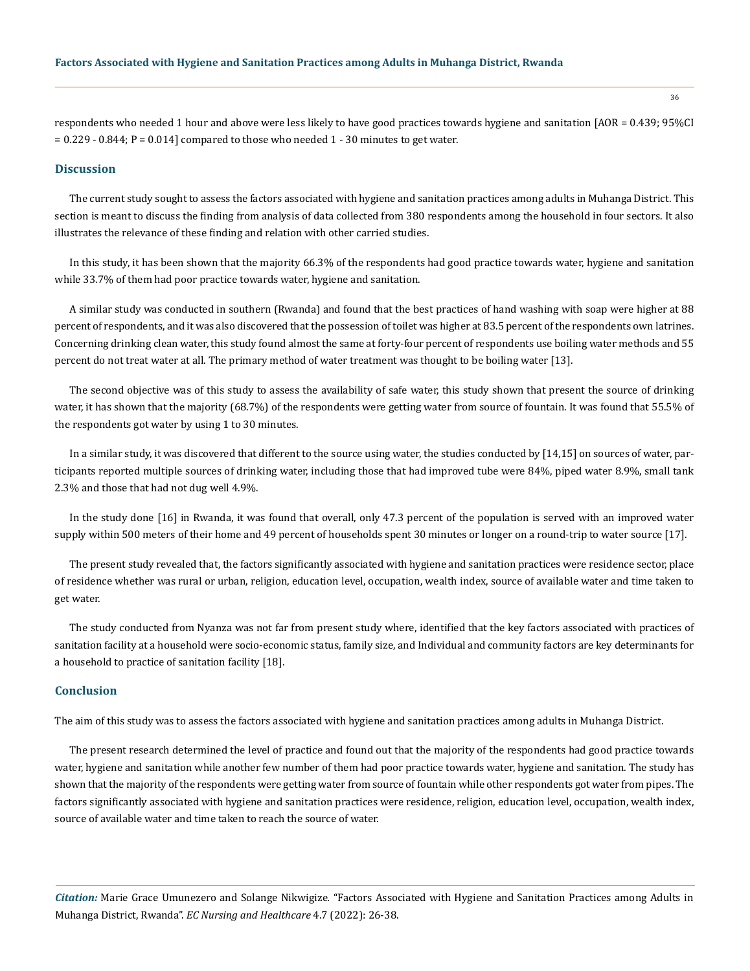respondents who needed 1 hour and above were less likely to have good practices towards hygiene and sanitation [AOR = 0.439; 95%CI  $= 0.229 - 0.844$ ; P = 0.014] compared to those who needed 1 - 30 minutes to get water.

# **Discussion**

The current study sought to assess the factors associated with hygiene and sanitation practices among adults in Muhanga District. This section is meant to discuss the finding from analysis of data collected from 380 respondents among the household in four sectors. It also illustrates the relevance of these finding and relation with other carried studies.

In this study, it has been shown that the majority 66.3% of the respondents had good practice towards water, hygiene and sanitation while 33.7% of them had poor practice towards water, hygiene and sanitation.

A similar study was conducted in southern (Rwanda) and found that the best practices of hand washing with soap were higher at 88 percent of respondents, and it was also discovered that the possession of toilet was higher at 83.5 percent of the respondents own latrines. Concerning drinking clean water, this study found almost the same at forty-four percent of respondents use boiling water methods and 55 percent do not treat water at all. The primary method of water treatment was thought to be boiling water [13].

The second objective was of this study to assess the availability of safe water, this study shown that present the source of drinking water, it has shown that the majority (68.7%) of the respondents were getting water from source of fountain. It was found that 55.5% of the respondents got water by using 1 to 30 minutes.

In a similar study, it was discovered that different to the source using water, the studies conducted by [14,15] on sources of water, participants reported multiple sources of drinking water, including those that had improved tube were 84%, piped water 8.9%, small tank 2.3% and those that had not dug well 4.9%.

In the study done [16] in Rwanda, it was found that overall, only 47.3 percent of the population is served with an improved water supply within 500 meters of their home and 49 percent of households spent 30 minutes or longer on a round-trip to water source [17].

The present study revealed that, the factors significantly associated with hygiene and sanitation practices were residence sector, place of residence whether was rural or urban, religion, education level, occupation, wealth index, source of available water and time taken to get water.

The study conducted from Nyanza was not far from present study where, identified that the key factors associated with practices of sanitation facility at a household were socio-economic status, family size, and Individual and community factors are key determinants for a household to practice of sanitation facility [18].

## **Conclusion**

The aim of this study was to assess the factors associated with hygiene and sanitation practices among adults in Muhanga District.

The present research determined the level of practice and found out that the majority of the respondents had good practice towards water, hygiene and sanitation while another few number of them had poor practice towards water, hygiene and sanitation. The study has shown that the majority of the respondents were getting water from source of fountain while other respondents got water from pipes. The factors significantly associated with hygiene and sanitation practices were residence, religion, education level, occupation, wealth index, source of available water and time taken to reach the source of water.

*Citation:* Marie Grace Umunezero and Solange Nikwigize*.* "Factors Associated with Hygiene and Sanitation Practices among Adults in Muhanga District, Rwanda". *EC Nursing and Healthcare* 4.7 (2022): 26-38.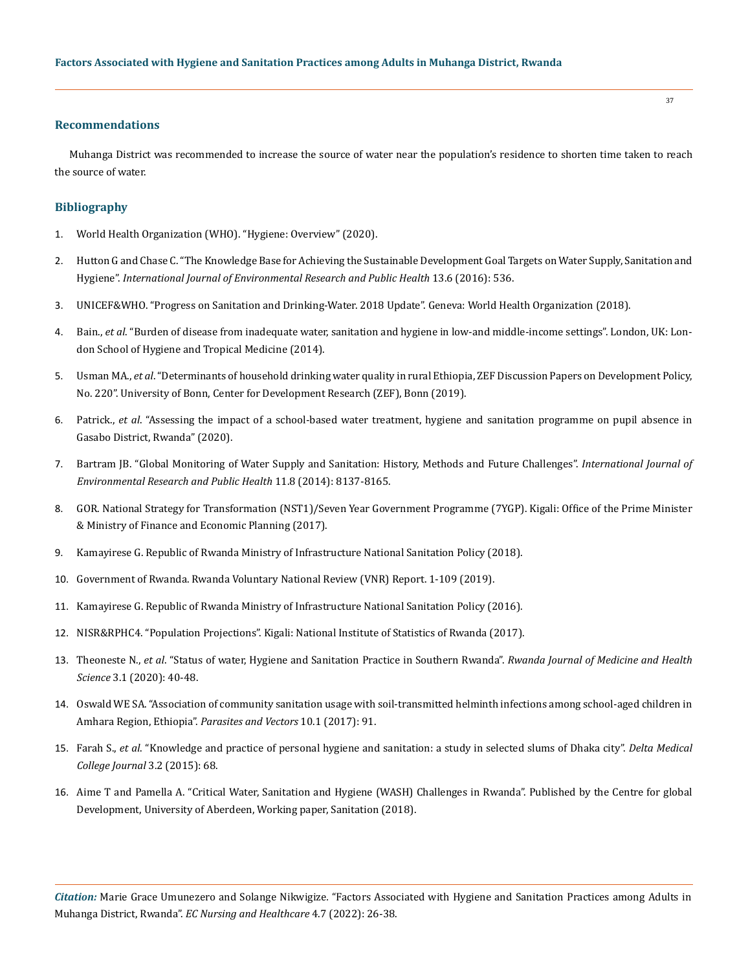#### **Recommendations**

Muhanga District was recommended to increase the source of water near the population's residence to shorten time taken to reach the source of water.

## **Bibliography**

- 1. World Health Organization (WHO). "Hygiene: Overview" (2020).
- 2. [Hutton G and Chase C. "The Knowledge Base for Achieving the Sustainable Development Goal Targets on Water Supply, Sanitation and](https://pubmed.ncbi.nlm.nih.gov/27240389/)  Hygiene". *[International Journal of Environmental Research and Public Health](https://pubmed.ncbi.nlm.nih.gov/27240389/)* 13.6 (2016): 536.
- 3. [UNICEF&WHO. "Progress on Sanitation and Drinking-Water. 2018 Update". Geneva: World Health Organization \(2018\).](https://www.unicef.org/reports/progress-sanitation-and-drinking-water)
- 4. Bain., *et al*. "Burden of disease from inadequate water, sanitation and hygiene in low-and middle-income settings". London, UK: London School of Hygiene and Tropical Medicine (2014).
- 5. Usman MA., *et al*[. "Determinants of household drinking water quality in rural Ethiopia, ZEF Discussion Papers on Development Policy,](https://papers.ssrn.com/sol3/papers.cfm?abstract_id=2809564)  [No. 220". University of Bonn, Center for Development Research \(ZEF\), Bonn \(2019\).](https://papers.ssrn.com/sol3/papers.cfm?abstract_id=2809564)
- 6. Patrick., *et al*. "Assessing the impact of a school-based water treatment, hygiene and sanitation programme on pupil absence in Gasabo District, Rwanda" (2020).
- 7. [Bartram JB. "Global Monitoring of Water Supply and Sanitation: History, Methods and Future Challenges".](https://pubmed.ncbi.nlm.nih.gov/25116635/) *International Journal of [Environmental Research and Public Health](https://pubmed.ncbi.nlm.nih.gov/25116635/)* 11.8 (2014): 8137-8165.
- 8. GOR. National Strategy for Transformation (NST1)/Seven Year Government Programme (7YGP). Kigali: Office of the Prime Minister & Ministry of Finance and Economic Planning (2017).
- 9. Kamayirese G. Republic of Rwanda Ministry of Infrastructure National Sanitation Policy (2018).
- 10. Government of Rwanda. Rwanda Voluntary National Review (VNR) Report. 1-109 (2019).
- 11. Kamayirese G. Republic of Rwanda Ministry of Infrastructure National Sanitation Policy (2016).
- 12. NISR&RPHC4. "Population Projections". Kigali: National Institute of Statistics of Rwanda (2017).
- 13. Theoneste N., *et al*[. "Status of water, Hygiene and Sanitation Practice in Southern Rwanda".](https://www.researchgate.net/publication/342985008_Status_of_Water_Hygiene_and_Sanitation_Practices_in_Southern_Rwanda) *Rwanda Journal of Medicine and Health Science* [3.1 \(2020\): 40-48.](https://www.researchgate.net/publication/342985008_Status_of_Water_Hygiene_and_Sanitation_Practices_in_Southern_Rwanda)
- 14. [Oswald WE SA. "Association of community sanitation usage with soil-transmitted helminth infections among school-aged children in](https://pubmed.ncbi.nlm.nih.gov/28212668/)  [Amhara Region, Ethiopia".](https://pubmed.ncbi.nlm.nih.gov/28212668/) *Parasites and Vectors* 10.1 (2017): 91.
- 15. Farah S., *et al*[. "Knowledge and practice of personal hygiene and sanitation: a study in selected slums of Dhaka city".](https://www.researchgate.net/publication/282475610_Knowledge_and_Practice_of_Personal_Hygiene_and_Sanitation_A_Study_in_Selected_Slums_of_Dhaka_City) *Delta Medical [College Journal](https://www.researchgate.net/publication/282475610_Knowledge_and_Practice_of_Personal_Hygiene_and_Sanitation_A_Study_in_Selected_Slums_of_Dhaka_City)* 3.2 (2015): 68.
- 16. [Aime T and Pamella A. "Critical Water, Sanitation and Hygiene \(WASH\) Challenges in Rwanda". Published by the Centre for global](https://papers.ssrn.com/sol3/papers.cfm?abstract_id=3259008)  [Development, University of Aberdeen, Working paper, Sanitation \(2018\).](https://papers.ssrn.com/sol3/papers.cfm?abstract_id=3259008)

*Citation:* Marie Grace Umunezero and Solange Nikwigize*.* "Factors Associated with Hygiene and Sanitation Practices among Adults in Muhanga District, Rwanda". *EC Nursing and Healthcare* 4.7 (2022): 26-38.